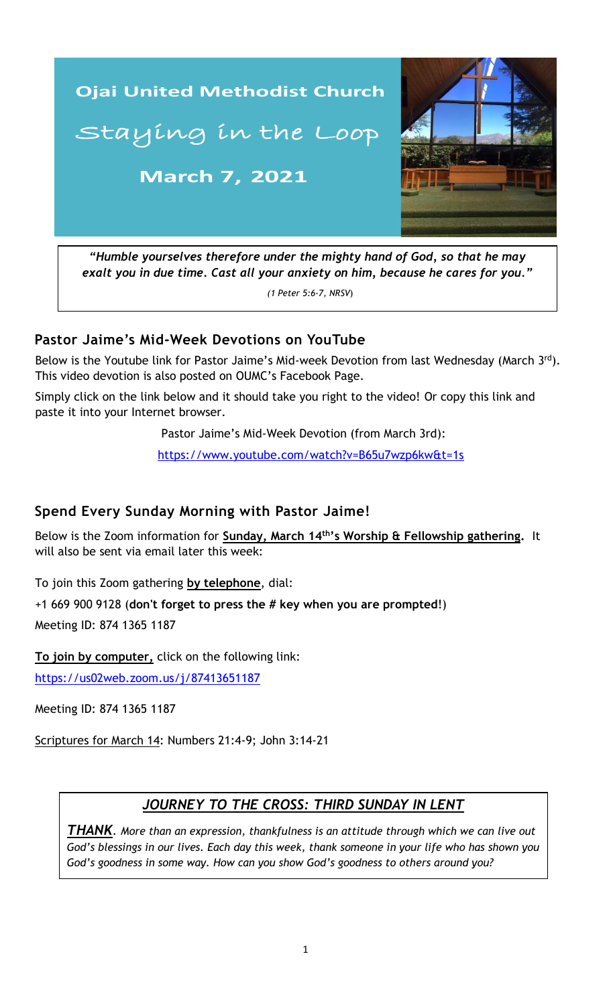

*"Humble yourselves therefore under the mighty hand of God, so that he may exalt you in due time. Cast all your anxiety on him, because he cares for you."*

*(1 Peter 5:6-7, NRSV*)

### **Pastor Jaime's Mid-Week Devotions on YouTube**

Below is the Youtube link for Pastor Jaime's Mid-week Devotion from last Wednesday (March 3rd). This video devotion is also posted on OUMC's Facebook Page.

Simply click on the link below and it should take you right to the video! Or copy this link and paste it into your Internet browser.

Pastor Jaime's Mid-Week Devotion (from March 3rd):

 [https://www.youtube.com/watch?v=B65u7wzp6kw&t=1s](https://www.youtube.com/watch?v=9a1adEVMI4U&t=6s)

#### **Spend Every Sunday Morning with Pastor Jaime!**

Below is the Zoom information for **Sunday, March 14th's Worship & Fellowship gathering.** It will also be sent via email later this week:

To join this Zoom gathering **by telephone**, dial:

+1 669 900 9128 (**don't forget to press the # key when you are prompted**!) Meeting ID: 874 1365 1187

**To join by computer,** click on the following link:

<https://us02web.zoom.us/j/87413651187>

Meeting ID: 874 1365 1187

Scriptures for March 14: Numbers 21:4-9; John 3:14-21

### *JOURNEY TO THE CROSS: THIRD SUNDAY IN LENT*

*THANK. More than an expression, thankfulness is an attitude through which we can live out God's blessings in our lives. Each day this week, thank someone in your life who has shown you God's goodness in some way. How can you show God's goodness to others around you?*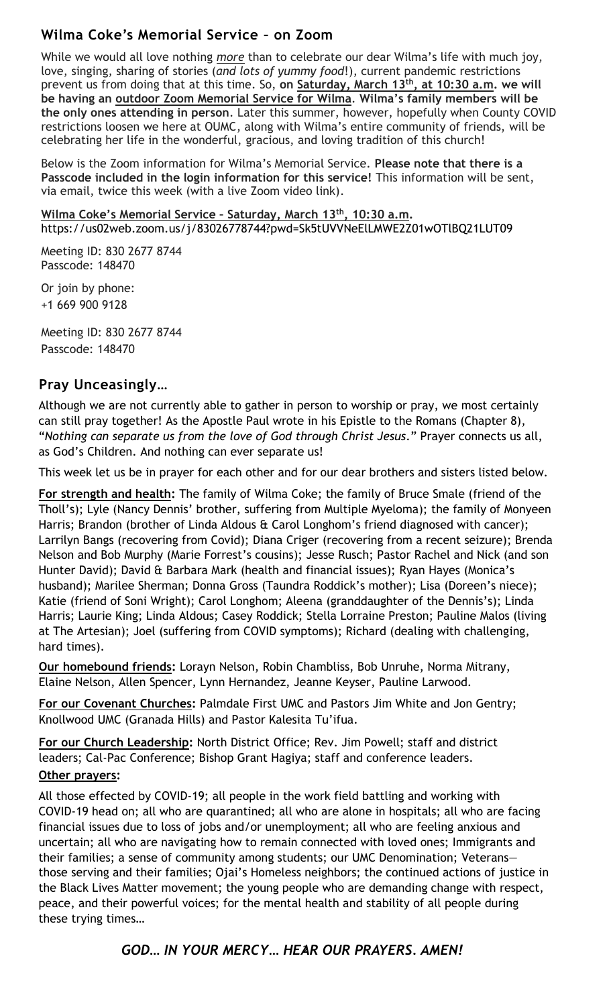### **Wilma Coke's Memorial Service – on Zoom**

While we would all love nothing *more* than to celebrate our dear Wilma's life with much joy, love, singing, sharing of stories (*and lots of yummy food*!), current pandemic restrictions prevent us from doing that at this time. So, **on Saturday, March 13th , at 10:30 a.m. we will be having an outdoor Zoom Memorial Service for Wilma**. **Wilma's family members will be the only ones attending in person**. Later this summer, however, hopefully when County COVID restrictions loosen we here at OUMC, along with Wilma's entire community of friends, will be celebrating her life in the wonderful, gracious, and loving tradition of this church!

Below is the Zoom information for Wilma's Memorial Service. **Please note that there is a Passcode included in the login information for this service!** This information will be sent, via email, twice this week (with a live Zoom video link).

**Wilma Coke's Memorial Service – Saturday, March 13th, 10:30 a.m.** https://us02web.zoom.us/j/83026778744?pwd=Sk5tUVVNeElLMWE2Z01wOTlBQ21LUT09

Meeting ID: 830 2677 8744 Passcode: 148470

Or join by phone: +1 669 900 9128

Meeting ID: 830 2677 8744 Passcode: 148470

## Pray Unceasingly...

Although we are not currently able to gather in person to worship or pray, we most certainly can still pray together! As the Apostle Paul wrote in his Epistle to the Romans (Chapter 8), "*Nothing can separate us from the love of God through Christ Jesus*." Prayer connects us all, as God's Children. And nothing can ever separate us!

This week let us be in prayer for each other and for our dear brothers and sisters listed below.

**For strength and health:** The family of Wilma Coke; the family of Bruce Smale (friend of the Tholl's); Lyle (Nancy Dennis' brother, suffering from Multiple Myeloma); the family of Monyeen Harris; Brandon (brother of Linda Aldous & Carol Longhom's friend diagnosed with cancer); Larrilyn Bangs (recovering from Covid); Diana Criger (recovering from a recent seizure); Brenda Nelson and Bob Murphy (Marie Forrest's cousins); Jesse Rusch; Pastor Rachel and Nick (and son Hunter David); David & Barbara Mark (health and financial issues); Ryan Hayes (Monica's husband); Marilee Sherman; Donna Gross (Taundra Roddick's mother); Lisa (Doreen's niece); Katie (friend of Soni Wright); Carol Longhom; Aleena (granddaughter of the Dennis's); Linda Harris; Laurie King; Linda Aldous; Casey Roddick; Stella Lorraine Preston; Pauline Malos (living at The Artesian); Joel (suffering from COVID symptoms); Richard (dealing with challenging, hard times).

**Our homebound friends:** Lorayn Nelson, Robin Chambliss, Bob Unruhe, Norma Mitrany, Elaine Nelson, Allen Spencer, Lynn Hernandez, Jeanne Keyser, Pauline Larwood.

**For our Covenant Churches:** Palmdale First UMC and Pastors Jim White and Jon Gentry; Knollwood UMC (Granada Hills) and Pastor Kalesita Tu'ifua.

**For our Church Leadership:** North District Office; Rev. Jim Powell; staff and district leaders; Cal-Pac Conference; Bishop Grant Hagiya; staff and conference leaders. **Other prayers:** 

\_\_\_\_\_\_\_\_\_\_\_\_\_\_\_\_\_\_\_\_\_\_\_\_\_\_\_\_\_\_\_\_\_\_\_\_\_\_\_\_\_\_\_\_\_\_\_\_\_\_\_\_\_\_\_\_\_\_\_\_\_\_ those serving and their families; Ojai's Homeless neighbors; the continued actions of justice in All those effected by COVID-19; all people in the work field battling and working with COVID-19 head on; all who are quarantined; all who are alone in hospitals; all who are facing financial issues due to loss of jobs and/or unemployment; all who are feeling anxious and uncertain; all who are navigating how to remain connected with loved ones; Immigrants and their families; a sense of community among students; our UMC Denomination; Veterans the Black Lives Matter movement; the young people who are demanding change with respect, peace, and their powerful voices; for the mental health and stability of all people during these trying times…

### 2 *GOD… IN YOUR MERCY… HEAR OUR PRAYERS. AMEN!*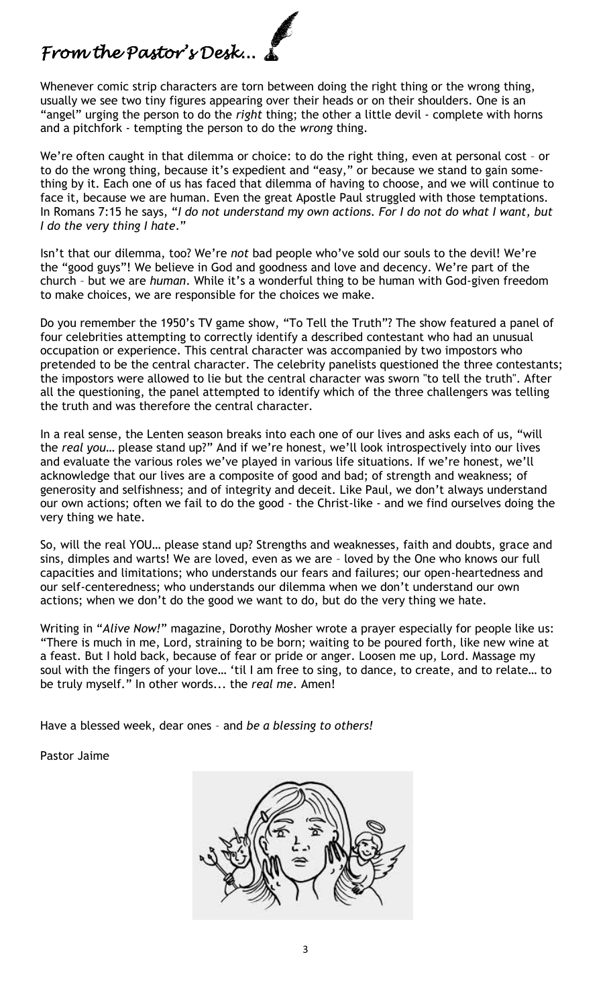# *From the Pastor's Desk...*

Whenever comic strip characters are torn between doing the right thing or the wrong thing, usually we see two tiny figures appearing over their heads or on their shoulders. One is an "angel" urging the person to do the *right* thing; the other a little devil - complete with horns and a pitchfork - tempting the person to do the *wrong* thing.

We're often caught in that dilemma or choice: to do the right thing, even at personal cost - or to do the wrong thing, because it's expedient and "easy," or because we stand to gain something by it. Each one of us has faced that dilemma of having to choose, and we will continue to face it, because we are human. Even the great Apostle Paul struggled with those temptations. In Romans 7:15 he says, "*I do not understand my own actions. For I do not do what I want, but I do the very thing I hate*."

Isn't that our dilemma, too? We're *not* bad people who've sold our souls to the devil! We're the "good guys"! We believe in God and goodness and love and decency. We're part of the church – but we are *human*. While it's a wonderful thing to be human with God-given freedom to make choices, we are responsible for the choices we make.

Do you remember the 1950's TV game show, "To Tell the Truth"? The show featured a panel of four celebrities attempting to correctly identify a described contestant who had an unusual occupation or experience. This central character was accompanied by two impostors who pretended to be the central character. The celebrity panelists questioned the three contestants; the impostors were allowed to lie but the central character was sworn "to tell the truth". After all the questioning, the panel attempted to identify which of the three challengers was telling the truth and was therefore the central character.

In a real sense, the Lenten season breaks into each one of our lives and asks each of us, "will the *real you*… please stand up?" And if we're honest, we'll look introspectively into our lives and evaluate the various roles we've played in various life situations. If we're honest, we'll acknowledge that our lives are a composite of good and bad; of strength and weakness; of generosity and selfishness; and of integrity and deceit. Like Paul, we don't always understand our own actions; often we fail to do the good - the Christ-like - and we find ourselves doing the very thing we hate.

So, will the real YOU… please stand up? Strengths and weaknesses, faith and doubts, grace and sins, dimples and warts! We are loved, even as we are – loved by the One who knows our full capacities and limitations; who understands our fears and failures; our open-heartedness and our self-centeredness; who understands our dilemma when we don't understand our own actions; when we don't do the good we want to do, but do the very thing we hate.

Writing in "*Alive Now!*" magazine, Dorothy Mosher wrote a prayer especially for people like us: "There is much in me, Lord, straining to be born; waiting to be poured forth, like new wine at a feast. But I hold back, because of fear or pride or anger. Loosen me up, Lord. Massage my soul with the fingers of your love… 'til I am free to sing, to dance, to create, and to relate… to be truly myself." In other words... the *real me*. Amen!

Have a blessed week, dear ones – and *be a blessing to others!*

Pastor Jaime